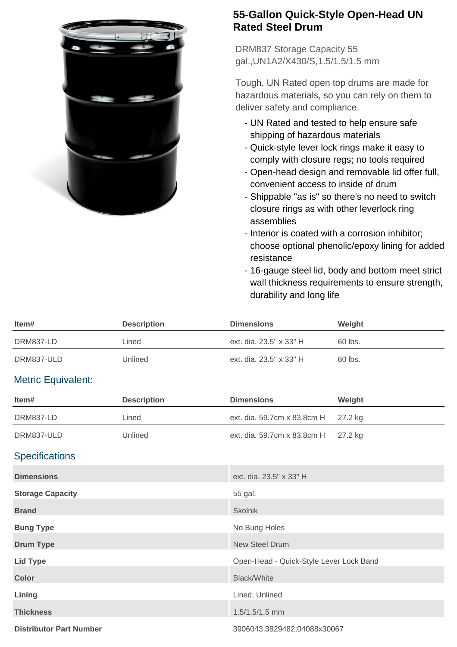

## **55-Gallon Quick-Style Open-Head UN Rated Steel Drum**

DRM837 Storage Capacity 55 gal.,UN1A2/X430/S,1.5/1.5/1.5 mm

Tough, UN Rated open top drums are made for hazardous materials, so you can rely on them to deliver safety and compliance.

- UN Rated and tested to help ensure safe shipping of hazardous materials
- Quick-style lever lock rings make it easy to comply with closure regs; no tools required
- Open-head design and removable lid offer full, convenient access to inside of drum
- Shippable "as is" so there's no need to switch closure rings as with other leverlock ring assemblies
- Interior is coated with a corrosion inhibitor; choose optional phenolic/epoxy lining for added resistance
- 16-gauge steel lid, body and bottom meet strict wall thickness requirements to ensure strength, durability and long life

| Item#                          | <b>Description</b> | <b>Dimensions</b>                       | Weight  |
|--------------------------------|--------------------|-----------------------------------------|---------|
| DRM837-LD                      | Lined              | ext. dia. 23.5" x 33" H                 | 60 lbs. |
| DRM837-ULD                     | Unlined            | ext. dia. 23.5" x 33" H                 | 60 lbs. |
| <b>Metric Equivalent:</b>      |                    |                                         |         |
| Item#                          | <b>Description</b> | <b>Dimensions</b>                       | Weight  |
| DRM837-LD                      | Lined              | ext. dia. 59.7cm x 83.8cm H             | 27.2 kg |
| DRM837-ULD                     | Unlined            | ext. dia. 59.7cm x 83.8cm H             | 27.2 kg |
| <b>Specifications</b>          |                    |                                         |         |
| <b>Dimensions</b>              |                    | ext. dia. 23.5" x 33" H                 |         |
| <b>Storage Capacity</b>        |                    | 55 gal.                                 |         |
| <b>Brand</b>                   |                    | Skolnik                                 |         |
| <b>Bung Type</b>               |                    | No Bung Holes                           |         |
| <b>Drum Type</b>               |                    | <b>New Steel Drum</b>                   |         |
| <b>Lid Type</b>                |                    | Open-Head - Quick-Style Lever Lock Band |         |
| <b>Color</b>                   |                    | <b>Black/White</b>                      |         |
| Lining                         |                    | Lined; Unlined                          |         |
| <b>Thickness</b>               |                    | 1.5/1.5/1.5 mm                          |         |
| <b>Distributor Part Number</b> |                    | 3906043;3829482;04088x30067             |         |